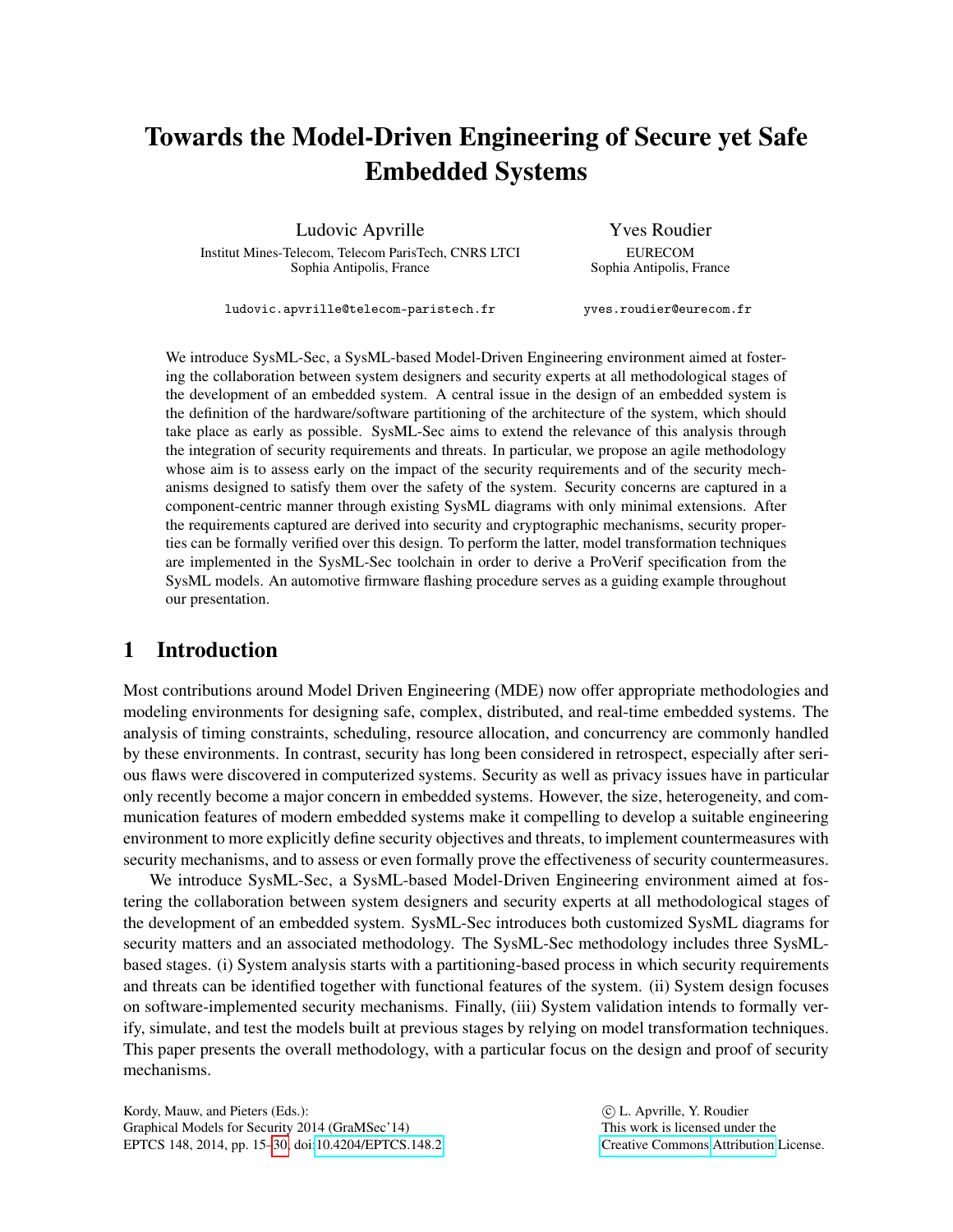# Towards the Model-Driven Engineering of Secure yet Safe Embedded Systems

Ludovic Apvrille

Institut Mines-Telecom, Telecom ParisTech, CNRS LTCI Sophia Antipolis, France

Yves Roudier EURECOM Sophia Antipolis, France

ludovic.apvrille@telecom-paristech.fr

yves.roudier@eurecom.fr

We introduce SysML-Sec, a SysML-based Model-Driven Engineering environment aimed at fostering the collaboration between system designers and security experts at all methodological stages of the development of an embedded system. A central issue in the design of an embedded system is the definition of the hardware/software partitioning of the architecture of the system, which should take place as early as possible. SysML-Sec aims to extend the relevance of this analysis through the integration of security requirements and threats. In particular, we propose an agile methodology whose aim is to assess early on the impact of the security requirements and of the security mechanisms designed to satisfy them over the safety of the system. Security concerns are captured in a component-centric manner through existing SysML diagrams with only minimal extensions. After the requirements captured are derived into security and cryptographic mechanisms, security properties can be formally verified over this design. To perform the latter, model transformation techniques are implemented in the SysML-Sec toolchain in order to derive a ProVerif specification from the SysML models. An automotive firmware flashing procedure serves as a guiding example throughout our presentation.

## 1 Introduction

Most contributions around Model Driven Engineering (MDE) now offer appropriate methodologies and modeling environments for designing safe, complex, distributed, and real-time embedded systems. The analysis of timing constraints, scheduling, resource allocation, and concurrency are commonly handled by these environments. In contrast, security has long been considered in retrospect, especially after serious flaws were discovered in computerized systems. Security as well as privacy issues have in particular only recently become a major concern in embedded systems. However, the size, heterogeneity, and communication features of modern embedded systems make it compelling to develop a suitable engineering environment to more explicitly define security objectives and threats, to implement countermeasures with security mechanisms, and to assess or even formally prove the effectiveness of security countermeasures.

We introduce SysML-Sec, a SysML-based Model-Driven Engineering environment aimed at fostering the collaboration between system designers and security experts at all methodological stages of the development of an embedded system. SysML-Sec introduces both customized SysML diagrams for security matters and an associated methodology. The SysML-Sec methodology includes three SysMLbased stages. (i) System analysis starts with a partitioning-based process in which security requirements and threats can be identified together with functional features of the system. (ii) System design focuses on software-implemented security mechanisms. Finally, (iii) System validation intends to formally verify, simulate, and test the models built at previous stages by relying on model transformation techniques. This paper presents the overall methodology, with a particular focus on the design and proof of security mechanisms.

Kordy, Mauw, and Pieters (Eds.): Graphical Models for Security 2014 (GraMSec'14) EPTCS 148, 2014, pp. 15[–30,](#page-15-0) doi[:10.4204/EPTCS.148.2](http://dx.doi.org/10.4204/EPTCS.148.2)

 c L. Apvrille, Y. Roudier This work is licensed under the [Creative Commons](http://creativecommons.org) [Attribution](http://creativecommons.org/licenses/by/3.0/) License.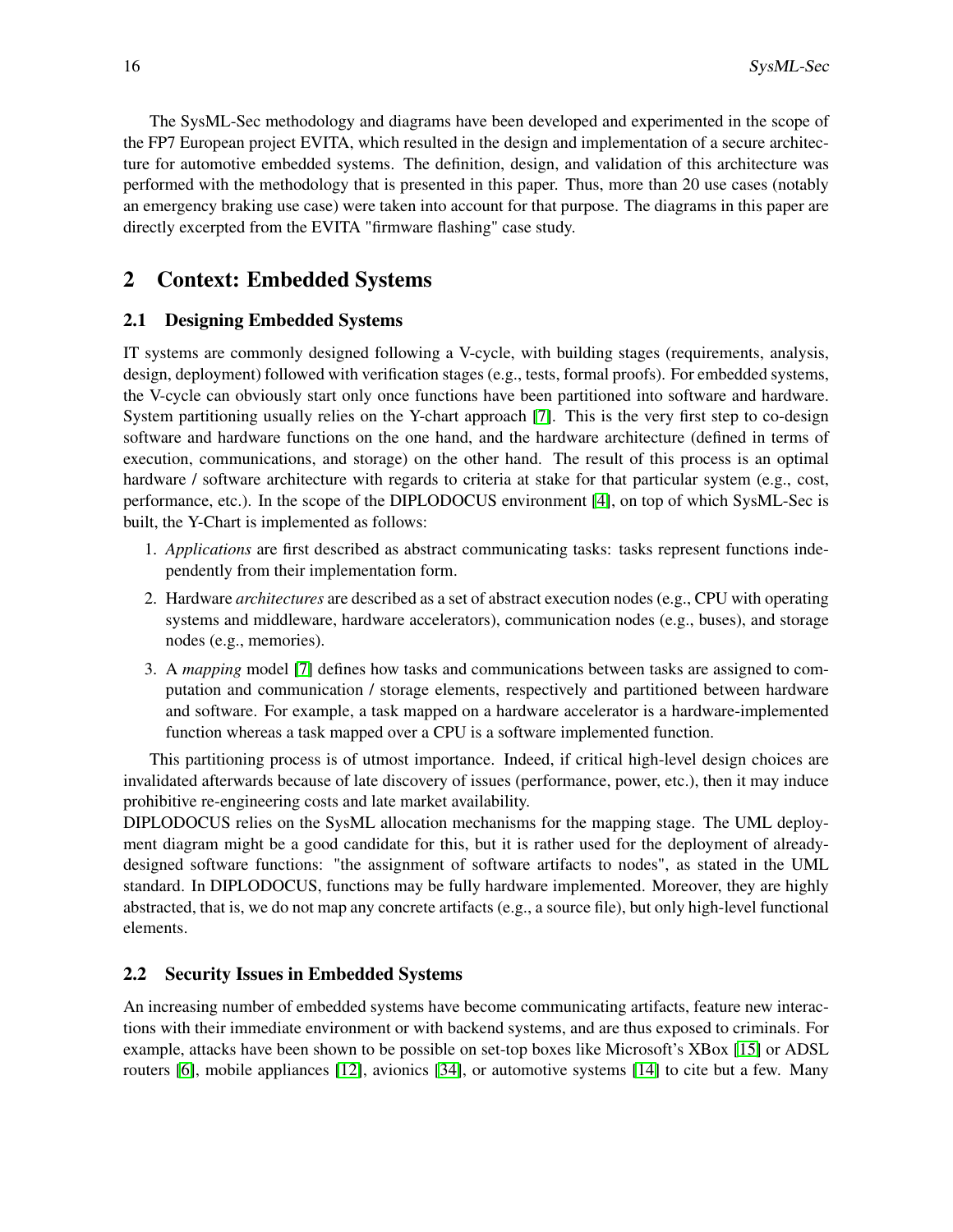The SysML-Sec methodology and diagrams have been developed and experimented in the scope of the FP7 European project EVITA, which resulted in the design and implementation of a secure architecture for automotive embedded systems. The definition, design, and validation of this architecture was performed with the methodology that is presented in this paper. Thus, more than 20 use cases (notably an emergency braking use case) were taken into account for that purpose. The diagrams in this paper are directly excerpted from the EVITA "firmware flashing" case study.

# 2 Context: Embedded Systems

### 2.1 Designing Embedded Systems

IT systems are commonly designed following a V-cycle, with building stages (requirements, analysis, design, deployment) followed with verification stages (e.g., tests, formal proofs). For embedded systems, the V-cycle can obviously start only once functions have been partitioned into software and hardware. System partitioning usually relies on the Y-chart approach [\[7\]](#page-13-0). This is the very first step to co-design software and hardware functions on the one hand, and the hardware architecture (defined in terms of execution, communications, and storage) on the other hand. The result of this process is an optimal hardware / software architecture with regards to criteria at stake for that particular system (e.g., cost, performance, etc.). In the scope of the DIPLODOCUS environment [\[4\]](#page-13-1), on top of which SysML-Sec is built, the Y-Chart is implemented as follows:

- 1. *Applications* are first described as abstract communicating tasks: tasks represent functions independently from their implementation form.
- 2. Hardware *architectures* are described as a set of abstract execution nodes (e.g., CPU with operating systems and middleware, hardware accelerators), communication nodes (e.g., buses), and storage nodes (e.g., memories).
- 3. A *mapping* model [\[7\]](#page-13-0) defines how tasks and communications between tasks are assigned to computation and communication / storage elements, respectively and partitioned between hardware and software. For example, a task mapped on a hardware accelerator is a hardware-implemented function whereas a task mapped over a CPU is a software implemented function.

This partitioning process is of utmost importance. Indeed, if critical high-level design choices are invalidated afterwards because of late discovery of issues (performance, power, etc.), then it may induce prohibitive re-engineering costs and late market availability.

DIPLODOCUS relies on the SysML allocation mechanisms for the mapping stage. The UML deployment diagram might be a good candidate for this, but it is rather used for the deployment of alreadydesigned software functions: "the assignment of software artifacts to nodes", as stated in the UML standard. In DIPLODOCUS, functions may be fully hardware implemented. Moreover, they are highly abstracted, that is, we do not map any concrete artifacts (e.g., a source file), but only high-level functional elements.

### 2.2 Security Issues in Embedded Systems

An increasing number of embedded systems have become communicating artifacts, feature new interactions with their immediate environment or with backend systems, and are thus exposed to criminals. For example, attacks have been shown to be possible on set-top boxes like Microsoft's XBox [\[15\]](#page-14-0) or ADSL routers [\[6\]](#page-13-2), mobile appliances [\[12\]](#page-14-1), avionics [\[34\]](#page-15-1), or automotive systems [\[14\]](#page-14-2) to cite but a few. Many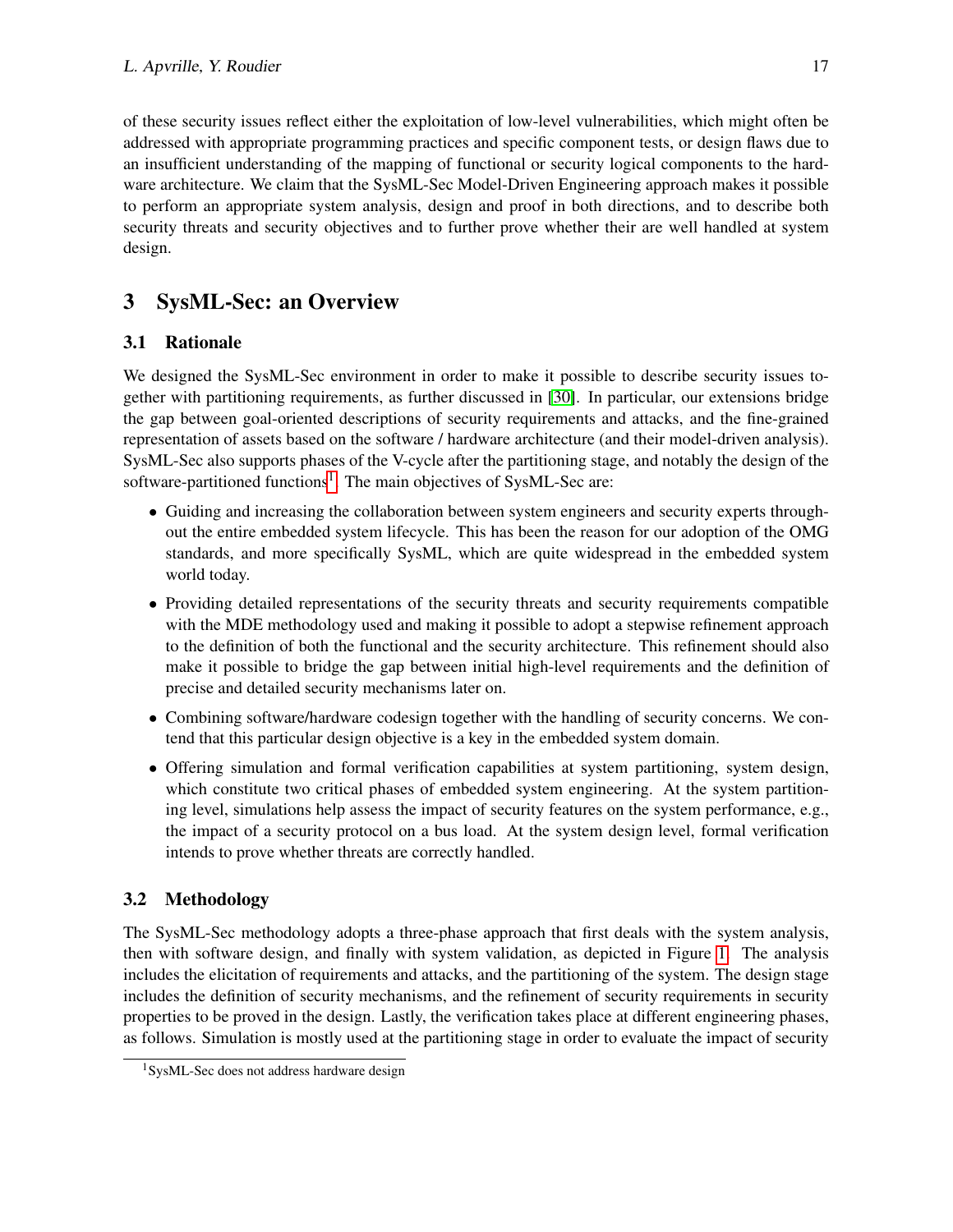of these security issues reflect either the exploitation of low-level vulnerabilities, which might often be addressed with appropriate programming practices and specific component tests, or design flaws due to an insufficient understanding of the mapping of functional or security logical components to the hardware architecture. We claim that the SysML-Sec Model-Driven Engineering approach makes it possible to perform an appropriate system analysis, design and proof in both directions, and to describe both security threats and security objectives and to further prove whether their are well handled at system design.

# 3 SysML-Sec: an Overview

## 3.1 Rationale

We designed the SysML-Sec environment in order to make it possible to describe security issues together with partitioning requirements, as further discussed in [\[30\]](#page-15-2). In particular, our extensions bridge the gap between goal-oriented descriptions of security requirements and attacks, and the fine-grained representation of assets based on the software / hardware architecture (and their model-driven analysis). SysML-Sec also supports phases of the V-cycle after the partitioning stage, and notably the design of the software-partitioned functions<sup>[1](#page-2-0)</sup>. The main objectives of SysML-Sec are:

- Guiding and increasing the collaboration between system engineers and security experts throughout the entire embedded system lifecycle. This has been the reason for our adoption of the OMG standards, and more specifically SysML, which are quite widespread in the embedded system world today.
- Providing detailed representations of the security threats and security requirements compatible with the MDE methodology used and making it possible to adopt a stepwise refinement approach to the definition of both the functional and the security architecture. This refinement should also make it possible to bridge the gap between initial high-level requirements and the definition of precise and detailed security mechanisms later on.
- Combining software/hardware codesign together with the handling of security concerns. We contend that this particular design objective is a key in the embedded system domain.
- Offering simulation and formal verification capabilities at system partitioning, system design, which constitute two critical phases of embedded system engineering. At the system partitioning level, simulations help assess the impact of security features on the system performance, e.g., the impact of a security protocol on a bus load. At the system design level, formal verification intends to prove whether threats are correctly handled.

## 3.2 Methodology

The SysML-Sec methodology adopts a three-phase approach that first deals with the system analysis, then with software design, and finally with system validation, as depicted in Figure [1.](#page-3-0) The analysis includes the elicitation of requirements and attacks, and the partitioning of the system. The design stage includes the definition of security mechanisms, and the refinement of security requirements in security properties to be proved in the design. Lastly, the verification takes place at different engineering phases, as follows. Simulation is mostly used at the partitioning stage in order to evaluate the impact of security

<span id="page-2-0"></span><sup>&</sup>lt;sup>1</sup>SysML-Sec does not address hardware design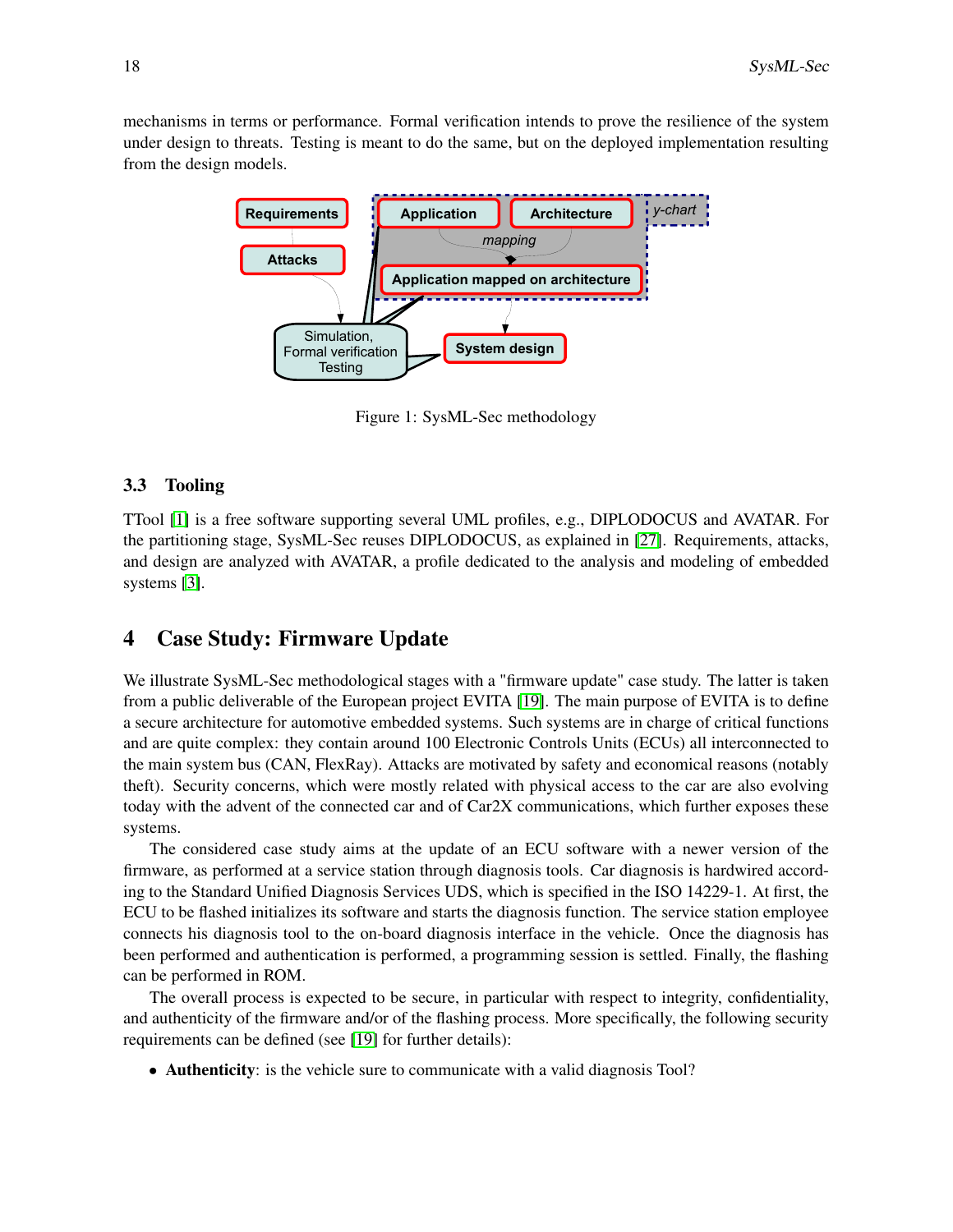mechanisms in terms or performance. Formal verification intends to prove the resilience of the system under design to threats. Testing is meant to do the same, but on the deployed implementation resulting from the design models.



<span id="page-3-0"></span>Figure 1: SysML-Sec methodology

#### 3.3 Tooling

TTool [\[1\]](#page-13-3) is a free software supporting several UML profiles, e.g., DIPLODOCUS and AVATAR. For the partitioning stage, SysML-Sec reuses DIPLODOCUS, as explained in [\[27\]](#page-14-3). Requirements, attacks, and design are analyzed with AVATAR, a profile dedicated to the analysis and modeling of embedded systems [\[3\]](#page-13-4).

### 4 Case Study: Firmware Update

We illustrate SysML-Sec methodological stages with a "firmware update" case study. The latter is taken from a public deliverable of the European project EVITA [\[19\]](#page-14-4). The main purpose of EVITA is to define a secure architecture for automotive embedded systems. Such systems are in charge of critical functions and are quite complex: they contain around 100 Electronic Controls Units (ECUs) all interconnected to the main system bus (CAN, FlexRay). Attacks are motivated by safety and economical reasons (notably theft). Security concerns, which were mostly related with physical access to the car are also evolving today with the advent of the connected car and of Car2X communications, which further exposes these systems.

The considered case study aims at the update of an ECU software with a newer version of the firmware, as performed at a service station through diagnosis tools. Car diagnosis is hardwired according to the Standard Unified Diagnosis Services UDS, which is specified in the ISO 14229-1. At first, the ECU to be flashed initializes its software and starts the diagnosis function. The service station employee connects his diagnosis tool to the on-board diagnosis interface in the vehicle. Once the diagnosis has been performed and authentication is performed, a programming session is settled. Finally, the flashing can be performed in ROM.

The overall process is expected to be secure, in particular with respect to integrity, confidentiality, and authenticity of the firmware and/or of the flashing process. More specifically, the following security requirements can be defined (see [\[19\]](#page-14-4) for further details):

• **Authenticity**: is the vehicle sure to communicate with a valid diagnosis Tool?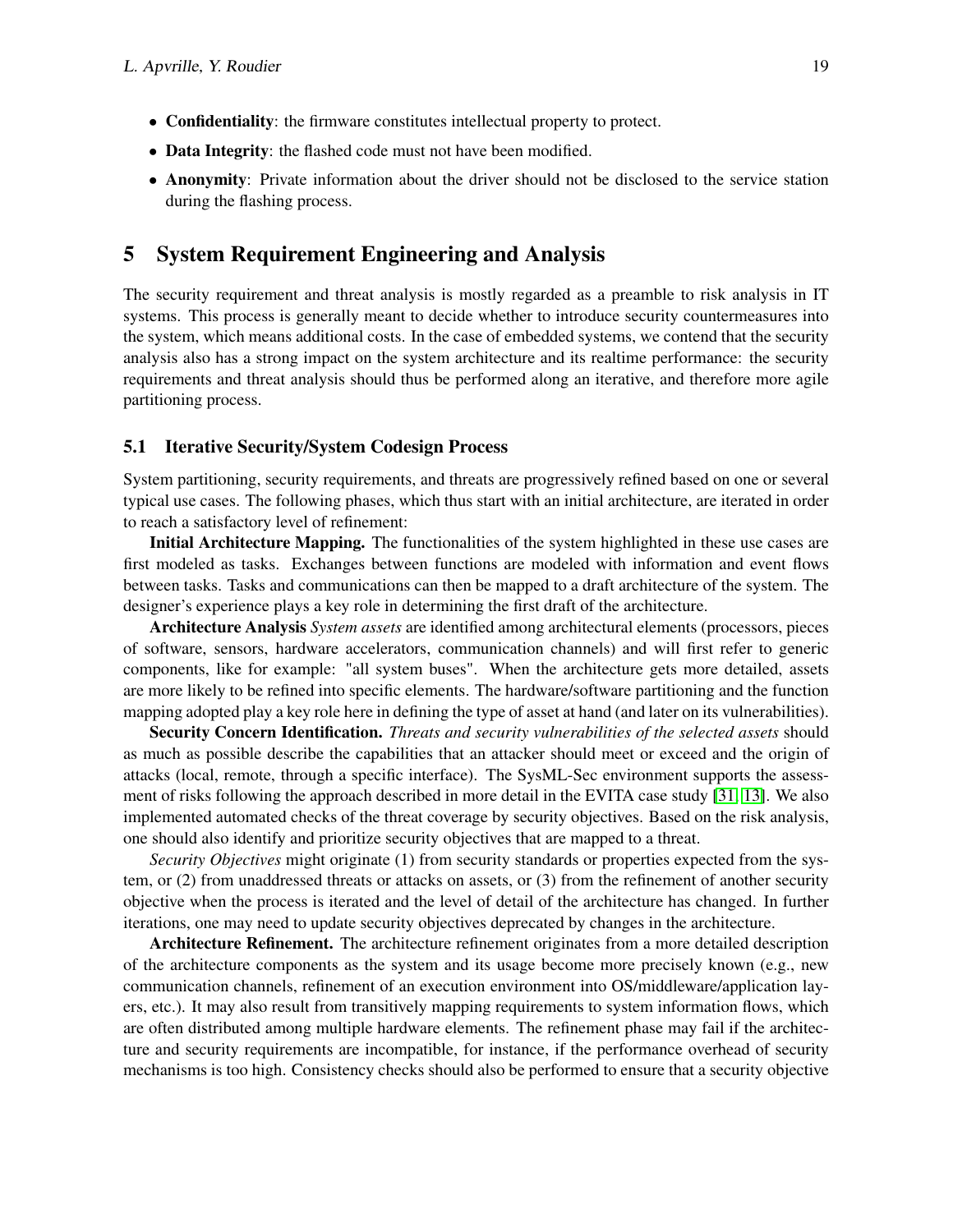- Confidentiality: the firmware constitutes intellectual property to protect.
- Data Integrity: the flashed code must not have been modified.
- Anonymity: Private information about the driver should not be disclosed to the service station during the flashing process.

### 5 System Requirement Engineering and Analysis

The security requirement and threat analysis is mostly regarded as a preamble to risk analysis in IT systems. This process is generally meant to decide whether to introduce security countermeasures into the system, which means additional costs. In the case of embedded systems, we contend that the security analysis also has a strong impact on the system architecture and its realtime performance: the security requirements and threat analysis should thus be performed along an iterative, and therefore more agile partitioning process.

### 5.1 Iterative Security/System Codesign Process

System partitioning, security requirements, and threats are progressively refined based on one or several typical use cases. The following phases, which thus start with an initial architecture, are iterated in order to reach a satisfactory level of refinement:

Initial Architecture Mapping. The functionalities of the system highlighted in these use cases are first modeled as tasks. Exchanges between functions are modeled with information and event flows between tasks. Tasks and communications can then be mapped to a draft architecture of the system. The designer's experience plays a key role in determining the first draft of the architecture.

Architecture Analysis *System assets* are identified among architectural elements (processors, pieces of software, sensors, hardware accelerators, communication channels) and will first refer to generic components, like for example: "all system buses". When the architecture gets more detailed, assets are more likely to be refined into specific elements. The hardware/software partitioning and the function mapping adopted play a key role here in defining the type of asset at hand (and later on its vulnerabilities).

Security Concern Identification. *Threats and security vulnerabilities of the selected assets* should as much as possible describe the capabilities that an attacker should meet or exceed and the origin of attacks (local, remote, through a specific interface). The SysML-Sec environment supports the assessment of risks following the approach described in more detail in the EVITA case study [\[31,](#page-15-3) [13\]](#page-14-5). We also implemented automated checks of the threat coverage by security objectives. Based on the risk analysis, one should also identify and prioritize security objectives that are mapped to a threat.

*Security Objectives* might originate (1) from security standards or properties expected from the system, or (2) from unaddressed threats or attacks on assets, or (3) from the refinement of another security objective when the process is iterated and the level of detail of the architecture has changed. In further iterations, one may need to update security objectives deprecated by changes in the architecture.

Architecture Refinement. The architecture refinement originates from a more detailed description of the architecture components as the system and its usage become more precisely known (e.g., new communication channels, refinement of an execution environment into OS/middleware/application layers, etc.). It may also result from transitively mapping requirements to system information flows, which are often distributed among multiple hardware elements. The refinement phase may fail if the architecture and security requirements are incompatible, for instance, if the performance overhead of security mechanisms is too high. Consistency checks should also be performed to ensure that a security objective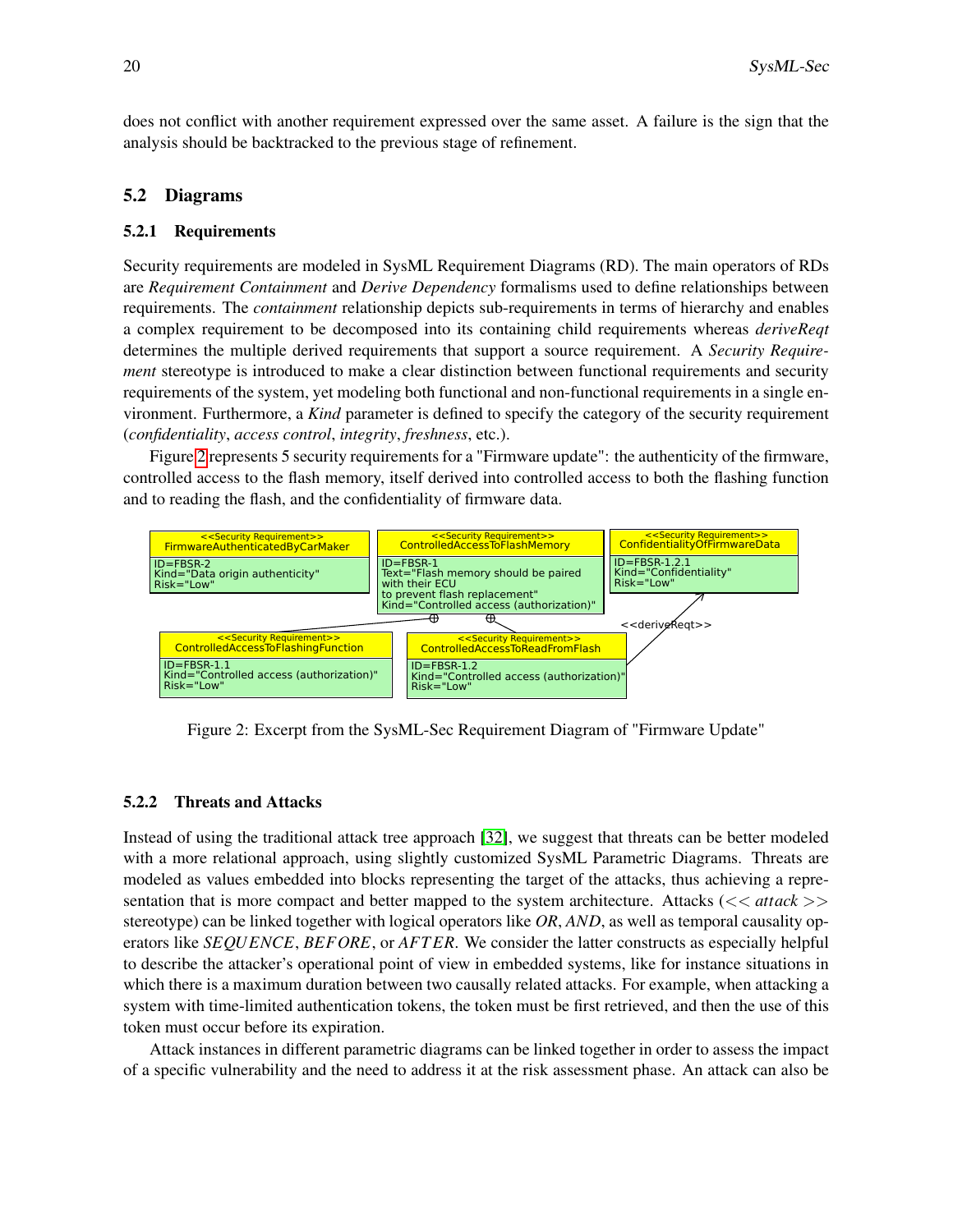does not conflict with another requirement expressed over the same asset. A failure is the sign that the analysis should be backtracked to the previous stage of refinement.

#### 5.2 Diagrams

#### 5.2.1 Requirements

Security requirements are modeled in SysML Requirement Diagrams (RD). The main operators of RDs are *Requirement Containment* and *Derive Dependency* formalisms used to define relationships between requirements. The *containment* relationship depicts sub-requirements in terms of hierarchy and enables a complex requirement to be decomposed into its containing child requirements whereas *deriveReqt* determines the multiple derived requirements that support a source requirement. A *Security Requirement* stereotype is introduced to make a clear distinction between functional requirements and security requirements of the system, yet modeling both functional and non-functional requirements in a single environment. Furthermore, a *Kind* parameter is defined to specify the category of the security requirement (*confidentiality*, *access control*, *integrity*, *freshness*, etc.).

Figure [2](#page-5-0) represents 5 security requirements for a "Firmware update": the authenticity of the firmware, controlled access to the flash memory, itself derived into controlled access to both the flashing function and to reading the flash, and the confidentiality of firmware data.



<span id="page-5-0"></span>Figure 2: Excerpt from the SysML-Sec Requirement Diagram of "Firmware Update"

#### 5.2.2 Threats and Attacks

Instead of using the traditional attack tree approach [\[32\]](#page-15-4), we suggest that threats can be better modeled with a more relational approach, using slightly customized SysML Parametric Diagrams. Threats are modeled as values embedded into blocks representing the target of the attacks, thus achieving a representation that is more compact and better mapped to the system architecture. Attacks ( $<<$  attack >> stereotype) can be linked together with logical operators like *OR*, *AND*, as well as temporal causality operators like *SEQUENCE*, *BEFORE*, or *AFT ER*. We consider the latter constructs as especially helpful to describe the attacker's operational point of view in embedded systems, like for instance situations in which there is a maximum duration between two causally related attacks. For example, when attacking a system with time-limited authentication tokens, the token must be first retrieved, and then the use of this token must occur before its expiration.

Attack instances in different parametric diagrams can be linked together in order to assess the impact of a specific vulnerability and the need to address it at the risk assessment phase. An attack can also be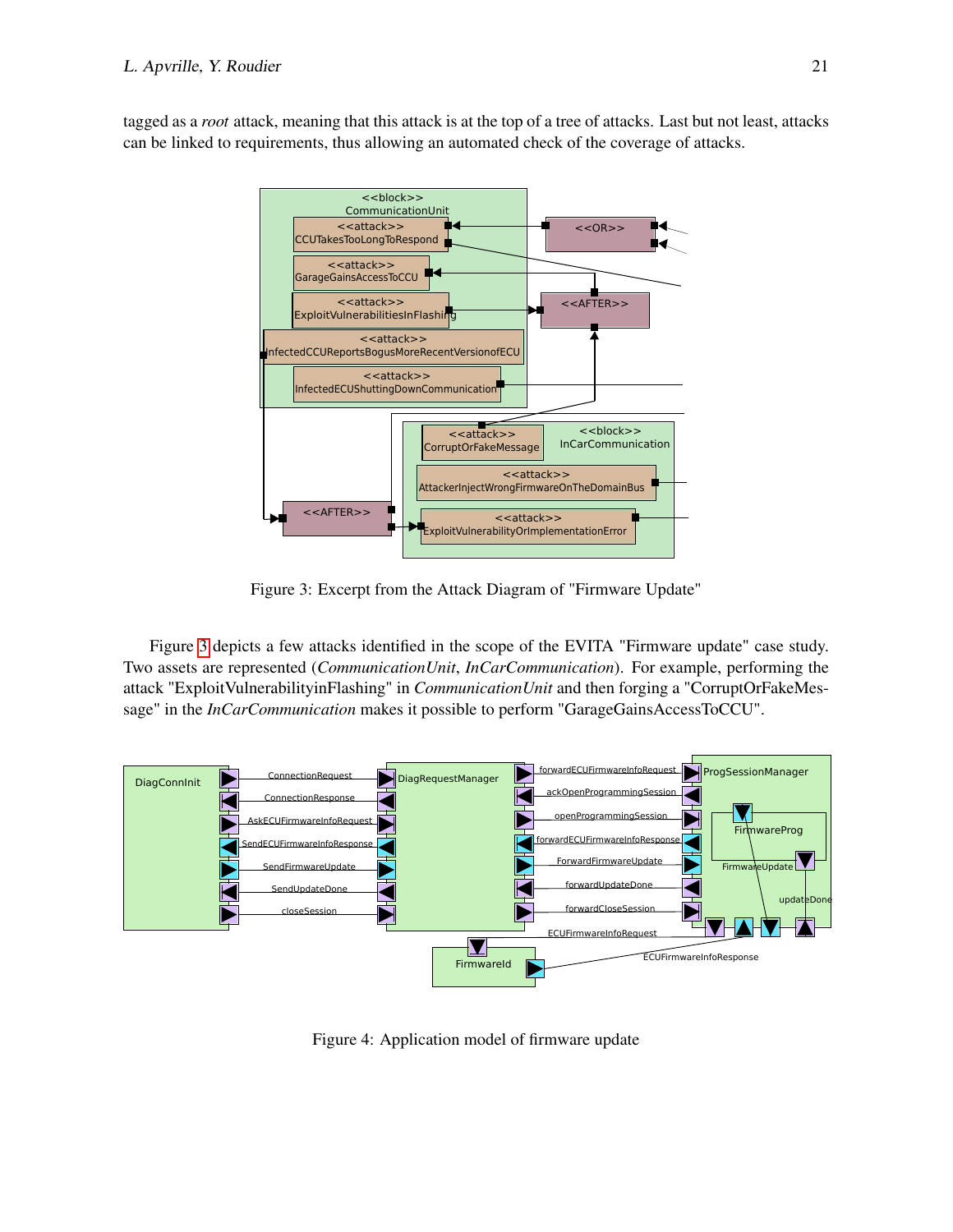tagged as a *root* attack, meaning that this attack is at the top of a tree of attacks. Last but not least, attacks can be linked to requirements, thus allowing an automated check of the coverage of attacks.



<span id="page-6-0"></span>Figure 3: Excerpt from the Attack Diagram of "Firmware Update"

Figure [3](#page-6-0) depicts a few attacks identified in the scope of the EVITA "Firmware update" case study. Two assets are represented (*CommunicationUnit*, *InCarCommunication*). For example, performing the attack "ExploitVulnerabilityinFlashing" in *CommunicationUnit* and then forging a "CorruptOrFakeMessage" in the *InCarCommunication* makes it possible to perform "GarageGainsAccessToCCU".



<span id="page-6-1"></span>Figure 4: Application model of firmware update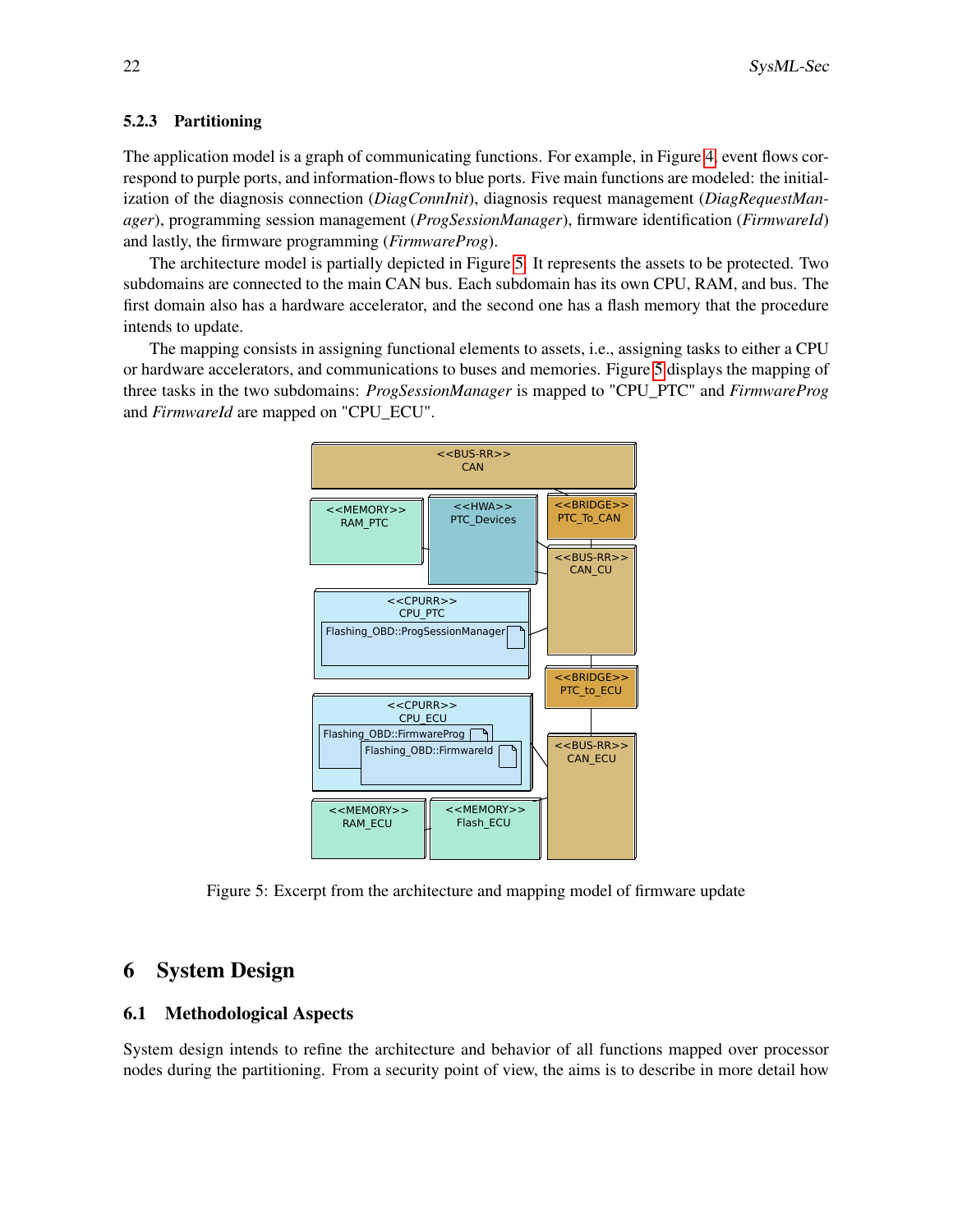#### 5.2.3 Partitioning

The application model is a graph of communicating functions. For example, in Figure [4,](#page-6-1) event flows correspond to purple ports, and information-flows to blue ports. Five main functions are modeled: the initialization of the diagnosis connection (*DiagConnInit*), diagnosis request management (*DiagRequestManager*), programming session management (*ProgSessionManager*), firmware identification (*FirmwareId*) and lastly, the firmware programming (*FirmwareProg*).

The architecture model is partially depicted in Figure [5.](#page-7-0) It represents the assets to be protected. Two subdomains are connected to the main CAN bus. Each subdomain has its own CPU, RAM, and bus. The first domain also has a hardware accelerator, and the second one has a flash memory that the procedure intends to update.

The mapping consists in assigning functional elements to assets, i.e., assigning tasks to either a CPU or hardware accelerators, and communications to buses and memories. Figure [5](#page-7-0) displays the mapping of three tasks in the two subdomains: *ProgSessionManager* is mapped to "CPU\_PTC" and *FirmwareProg* and *FirmwareId* are mapped on "CPU\_ECU".



<span id="page-7-0"></span>Figure 5: Excerpt from the architecture and mapping model of firmware update

# 6 System Design

#### 6.1 Methodological Aspects

System design intends to refine the architecture and behavior of all functions mapped over processor nodes during the partitioning. From a security point of view, the aims is to describe in more detail how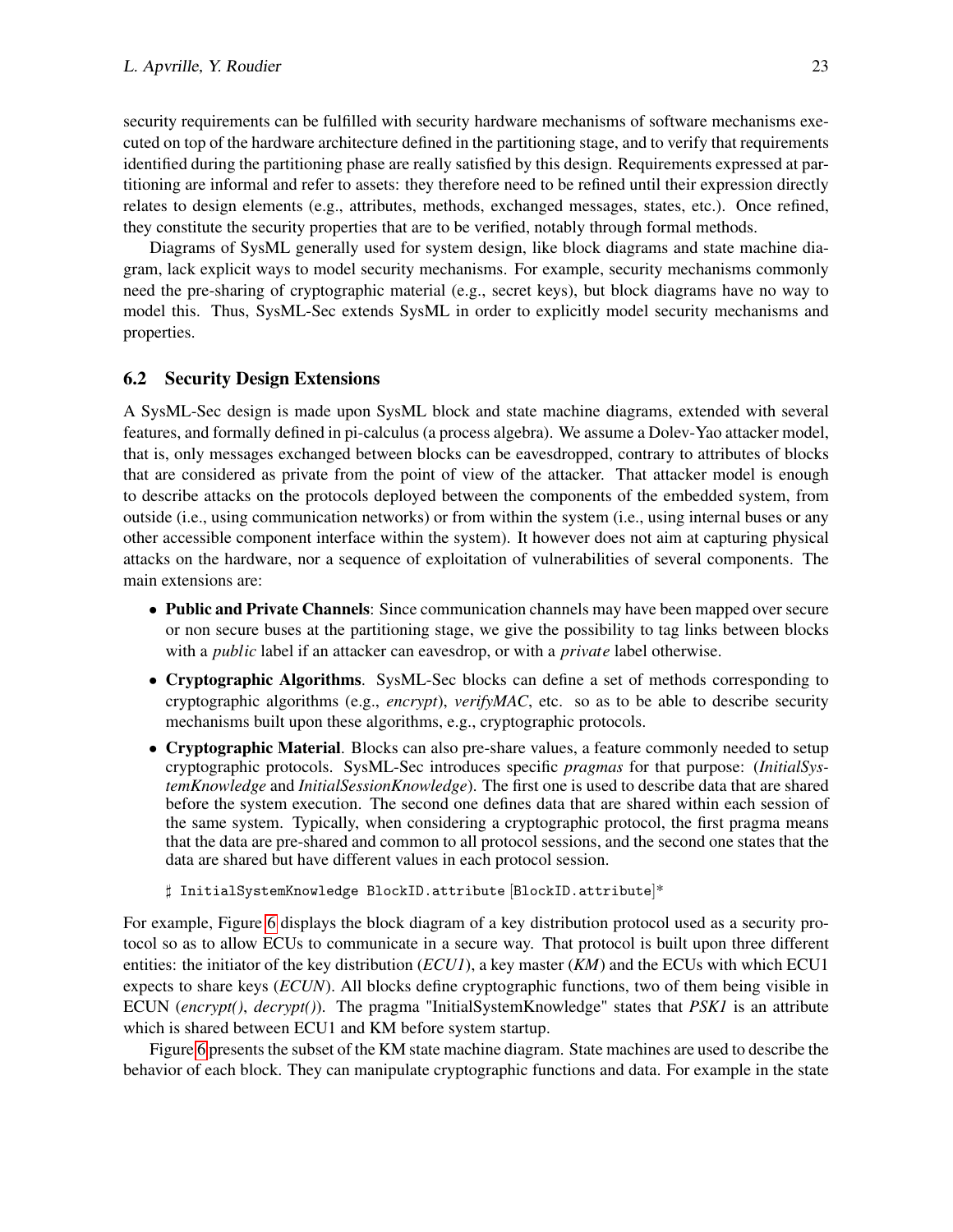security requirements can be fulfilled with security hardware mechanisms of software mechanisms executed on top of the hardware architecture defined in the partitioning stage, and to verify that requirements identified during the partitioning phase are really satisfied by this design. Requirements expressed at partitioning are informal and refer to assets: they therefore need to be refined until their expression directly relates to design elements (e.g., attributes, methods, exchanged messages, states, etc.). Once refined, they constitute the security properties that are to be verified, notably through formal methods.

Diagrams of SysML generally used for system design, like block diagrams and state machine diagram, lack explicit ways to model security mechanisms. For example, security mechanisms commonly need the pre-sharing of cryptographic material (e.g., secret keys), but block diagrams have no way to model this. Thus, SysML-Sec extends SysML in order to explicitly model security mechanisms and properties.

#### 6.2 Security Design Extensions

A SysML-Sec design is made upon SysML block and state machine diagrams, extended with several features, and formally defined in pi-calculus (a process algebra). We assume a Dolev-Yao attacker model, that is, only messages exchanged between blocks can be eavesdropped, contrary to attributes of blocks that are considered as private from the point of view of the attacker. That attacker model is enough to describe attacks on the protocols deployed between the components of the embedded system, from outside (i.e., using communication networks) or from within the system (i.e., using internal buses or any other accessible component interface within the system). It however does not aim at capturing physical attacks on the hardware, nor a sequence of exploitation of vulnerabilities of several components. The main extensions are:

- Public and Private Channels: Since communication channels may have been mapped over secure or non secure buses at the partitioning stage, we give the possibility to tag links between blocks with a *public* label if an attacker can eavesdrop, or with a *private* label otherwise.
- Cryptographic Algorithms. SysML-Sec blocks can define a set of methods corresponding to cryptographic algorithms (e.g., *encrypt*), *verifyMAC*, etc. so as to be able to describe security mechanisms built upon these algorithms, e.g., cryptographic protocols.
- Cryptographic Material. Blocks can also pre-share values, a feature commonly needed to setup cryptographic protocols. SysML-Sec introduces specific *pragmas* for that purpose: (*InitialSystemKnowledge* and *InitialSessionKnowledge*). The first one is used to describe data that are shared before the system execution. The second one defines data that are shared within each session of the same system. Typically, when considering a cryptographic protocol, the first pragma means that the data are pre-shared and common to all protocol sessions, and the second one states that the data are shared but have different values in each protocol session.

] InitialSystemKnowledge BlockID.attribute [BlockID.attribute]\*

For example, Figure [6](#page-9-0) displays the block diagram of a key distribution protocol used as a security protocol so as to allow ECUs to communicate in a secure way. That protocol is built upon three different entities: the initiator of the key distribution (*ECU1*), a key master (*KM*) and the ECUs with which ECU1 expects to share keys (*ECUN*). All blocks define cryptographic functions, two of them being visible in ECUN (*encrypt()*, *decrypt()*). The pragma "InitialSystemKnowledge" states that *PSK1* is an attribute which is shared between ECU1 and KM before system startup.

Figure [6](#page-9-0) presents the subset of the KM state machine diagram. State machines are used to describe the behavior of each block. They can manipulate cryptographic functions and data. For example in the state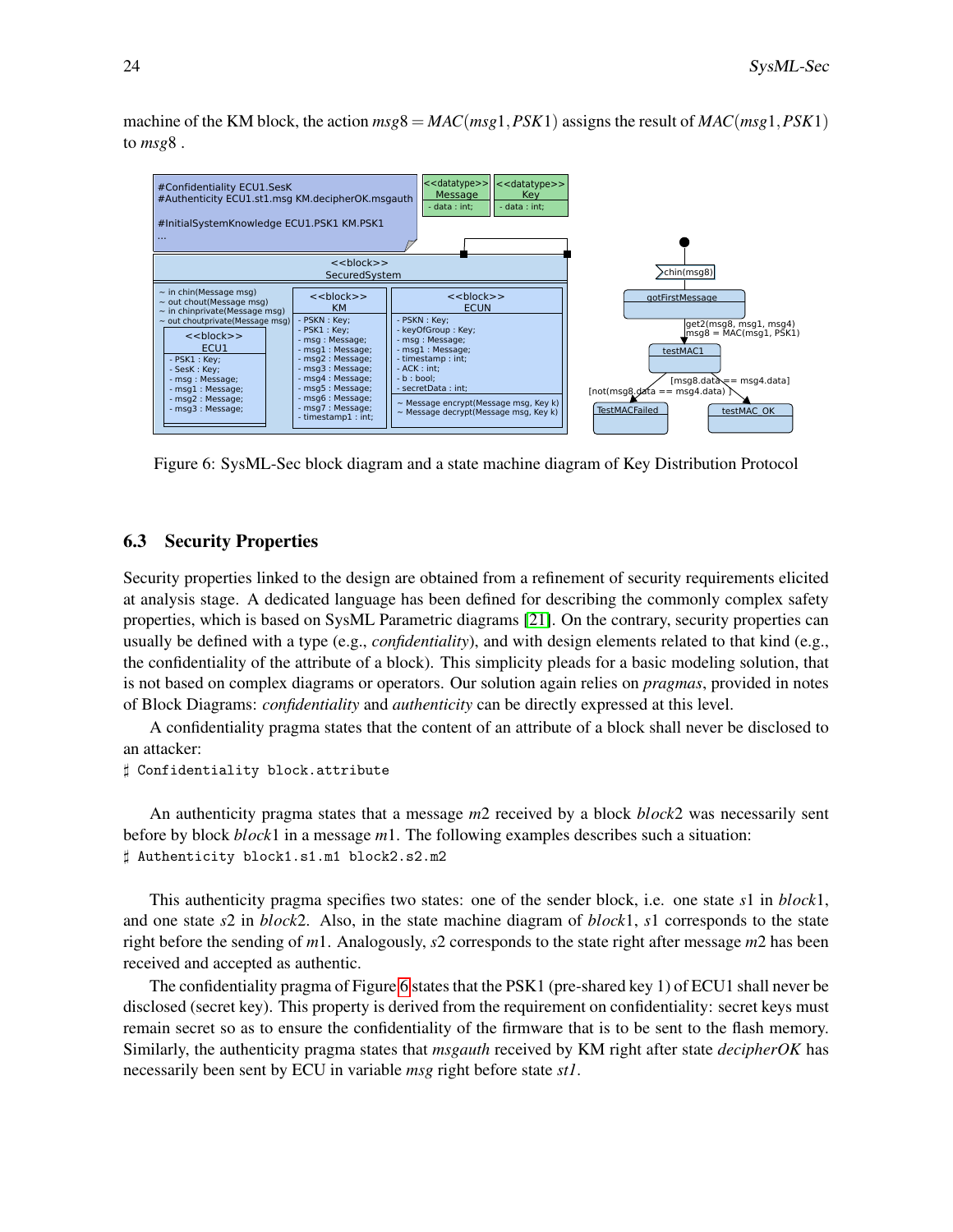machine of the KM block, the action  $msg8 = MAC(msg1, PSK1)$  assigns the result of  $MAC(msg1, PSK1)$ to *msg*8 .



<span id="page-9-0"></span>Figure 6: SysML-Sec block diagram and a state machine diagram of Key Distribution Protocol

#### 6.3 Security Properties

Security properties linked to the design are obtained from a refinement of security requirements elicited at analysis stage. A dedicated language has been defined for describing the commonly complex safety properties, which is based on SysML Parametric diagrams [\[21\]](#page-14-6). On the contrary, security properties can usually be defined with a type (e.g., *confidentiality*), and with design elements related to that kind (e.g., the confidentiality of the attribute of a block). This simplicity pleads for a basic modeling solution, that is not based on complex diagrams or operators. Our solution again relies on *pragmas*, provided in notes of Block Diagrams: *confidentiality* and *authenticity* can be directly expressed at this level.

A confidentiality pragma states that the content of an attribute of a block shall never be disclosed to an attacker:

```
] Confidentiality block.attribute
```
An authenticity pragma states that a message *m*2 received by a block *block*2 was necessarily sent before by block *block*1 in a message *m*1. The following examples describes such a situation: ] Authenticity block1.s1.m1 block2.s2.m2

This authenticity pragma specifies two states: one of the sender block, i.e. one state *s*1 in *block*1, and one state *s*2 in *block*2. Also, in the state machine diagram of *block*1, *s*1 corresponds to the state right before the sending of *m*1. Analogously, *s*2 corresponds to the state right after message *m*2 has been received and accepted as authentic.

The confidentiality pragma of Figure [6](#page-9-0) states that the PSK1 (pre-shared key 1) of ECU1 shall never be disclosed (secret key). This property is derived from the requirement on confidentiality: secret keys must remain secret so as to ensure the confidentiality of the firmware that is to be sent to the flash memory. Similarly, the authenticity pragma states that *msgauth* received by KM right after state *decipherOK* has necessarily been sent by ECU in variable *msg* right before state *st1*.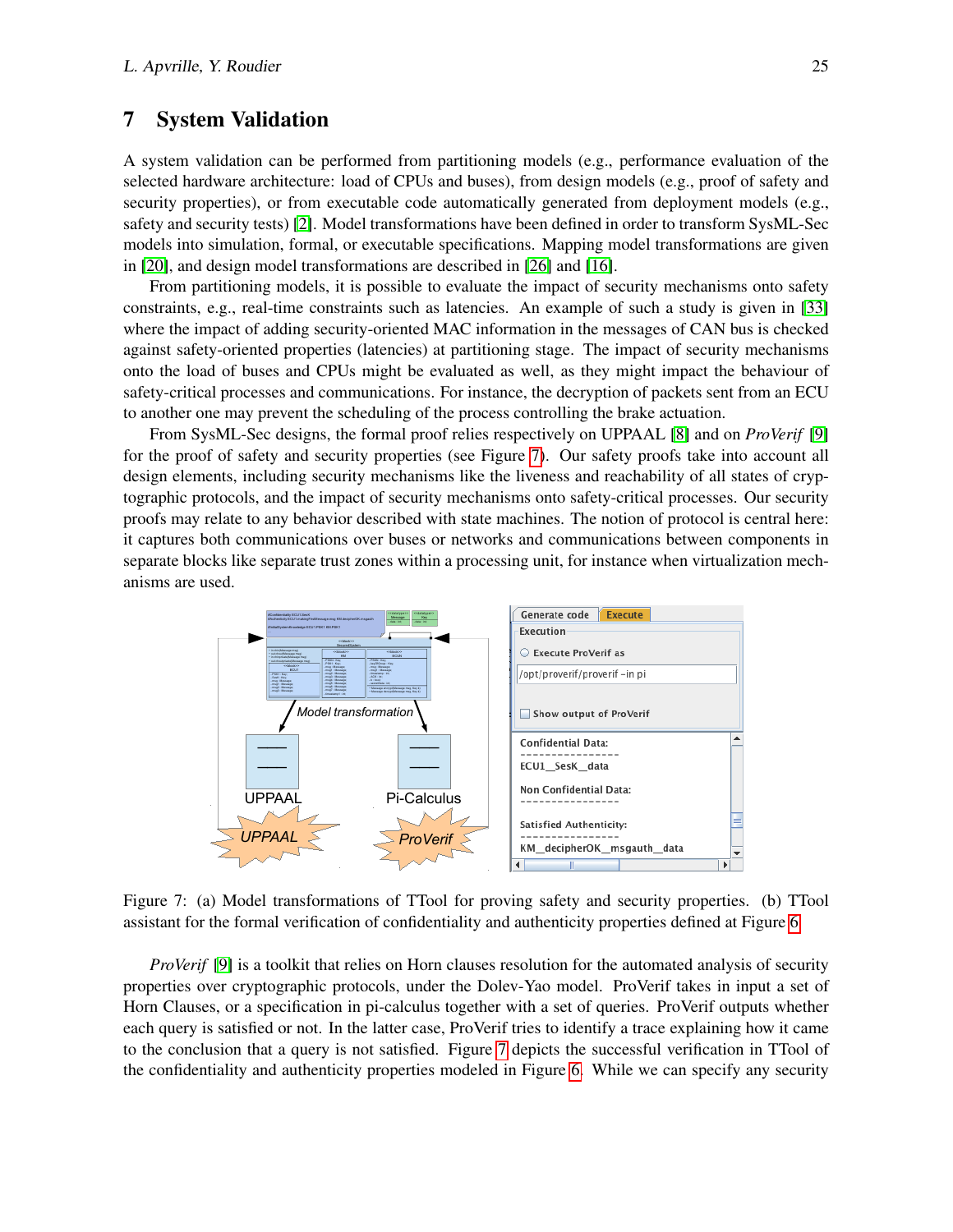### 7 System Validation

A system validation can be performed from partitioning models (e.g., performance evaluation of the selected hardware architecture: load of CPUs and buses), from design models (e.g., proof of safety and security properties), or from executable code automatically generated from deployment models (e.g., safety and security tests) [\[2\]](#page-13-5). Model transformations have been defined in order to transform SysML-Sec models into simulation, formal, or executable specifications. Mapping model transformations are given in [\[20\]](#page-14-7), and design model transformations are described in [\[26\]](#page-14-8) and [\[16\]](#page-14-9).

From partitioning models, it is possible to evaluate the impact of security mechanisms onto safety constraints, e.g., real-time constraints such as latencies. An example of such a study is given in [\[33\]](#page-15-5) where the impact of adding security-oriented MAC information in the messages of CAN bus is checked against safety-oriented properties (latencies) at partitioning stage. The impact of security mechanisms onto the load of buses and CPUs might be evaluated as well, as they might impact the behaviour of safety-critical processes and communications. For instance, the decryption of packets sent from an ECU to another one may prevent the scheduling of the process controlling the brake actuation.

From SysML-Sec designs, the formal proof relies respectively on UPPAAL [\[8\]](#page-14-10) and on *ProVerif* [\[9\]](#page-14-11) for the proof of safety and security properties (see Figure [7\)](#page-10-0). Our safety proofs take into account all design elements, including security mechanisms like the liveness and reachability of all states of cryptographic protocols, and the impact of security mechanisms onto safety-critical processes. Our security proofs may relate to any behavior described with state machines. The notion of protocol is central here: it captures both communications over buses or networks and communications between components in separate blocks like separate trust zones within a processing unit, for instance when virtualization mechanisms are used.



<span id="page-10-0"></span>Figure 7: (a) Model transformations of TTool for proving safety and security properties. (b) TTool assistant for the formal verification of confidentiality and authenticity properties defined at Figure [6](#page-9-0)

*ProVerif* [\[9\]](#page-14-11) is a toolkit that relies on Horn clauses resolution for the automated analysis of security properties over cryptographic protocols, under the Dolev-Yao model. ProVerif takes in input a set of Horn Clauses, or a specification in pi-calculus together with a set of queries. ProVerif outputs whether each query is satisfied or not. In the latter case, ProVerif tries to identify a trace explaining how it came to the conclusion that a query is not satisfied. Figure [7](#page-10-0) depicts the successful verification in TTool of the confidentiality and authenticity properties modeled in Figure [6.](#page-9-0) While we can specify any security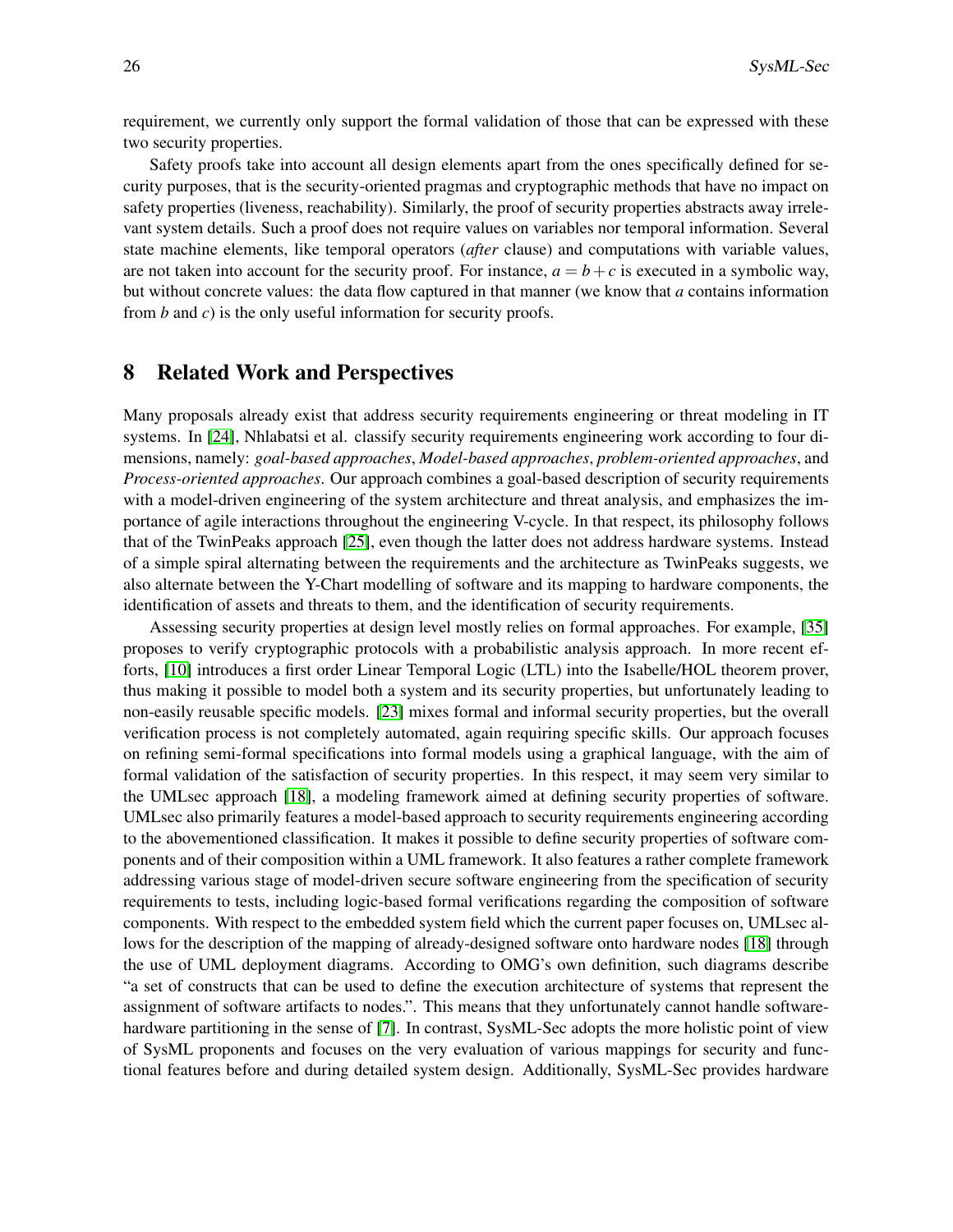requirement, we currently only support the formal validation of those that can be expressed with these two security properties.

Safety proofs take into account all design elements apart from the ones specifically defined for security purposes, that is the security-oriented pragmas and cryptographic methods that have no impact on safety properties (liveness, reachability). Similarly, the proof of security properties abstracts away irrelevant system details. Such a proof does not require values on variables nor temporal information. Several state machine elements, like temporal operators (*after* clause) and computations with variable values, are not taken into account for the security proof. For instance,  $a = b + c$  is executed in a symbolic way, but without concrete values: the data flow captured in that manner (we know that *a* contains information from *b* and *c*) is the only useful information for security proofs.

### 8 Related Work and Perspectives

Many proposals already exist that address security requirements engineering or threat modeling in IT systems. In [\[24\]](#page-14-12), Nhlabatsi et al. classify security requirements engineering work according to four dimensions, namely: *goal-based approaches*, *Model-based approaches*, *problem-oriented approaches*, and *Process-oriented approaches*. Our approach combines a goal-based description of security requirements with a model-driven engineering of the system architecture and threat analysis, and emphasizes the importance of agile interactions throughout the engineering V-cycle. In that respect, its philosophy follows that of the TwinPeaks approach [\[25\]](#page-14-13), even though the latter does not address hardware systems. Instead of a simple spiral alternating between the requirements and the architecture as TwinPeaks suggests, we also alternate between the Y-Chart modelling of software and its mapping to hardware components, the identification of assets and threats to them, and the identification of security requirements.

Assessing security properties at design level mostly relies on formal approaches. For example, [\[35\]](#page-15-6) proposes to verify cryptographic protocols with a probabilistic analysis approach. In more recent efforts, [\[10\]](#page-14-14) introduces a first order Linear Temporal Logic (LTL) into the Isabelle/HOL theorem prover, thus making it possible to model both a system and its security properties, but unfortunately leading to non-easily reusable specific models. [\[23\]](#page-14-15) mixes formal and informal security properties, but the overall verification process is not completely automated, again requiring specific skills. Our approach focuses on refining semi-formal specifications into formal models using a graphical language, with the aim of formal validation of the satisfaction of security properties. In this respect, it may seem very similar to the UMLsec approach [\[18\]](#page-14-16), a modeling framework aimed at defining security properties of software. UMLsec also primarily features a model-based approach to security requirements engineering according to the abovementioned classification. It makes it possible to define security properties of software components and of their composition within a UML framework. It also features a rather complete framework addressing various stage of model-driven secure software engineering from the specification of security requirements to tests, including logic-based formal verifications regarding the composition of software components. With respect to the embedded system field which the current paper focuses on, UMLsec allows for the description of the mapping of already-designed software onto hardware nodes [\[18\]](#page-14-16) through the use of UML deployment diagrams. According to OMG's own definition, such diagrams describe "a set of constructs that can be used to define the execution architecture of systems that represent the assignment of software artifacts to nodes.". This means that they unfortunately cannot handle softwarehardware partitioning in the sense of [\[7\]](#page-13-0). In contrast, SysML-Sec adopts the more holistic point of view of SysML proponents and focuses on the very evaluation of various mappings for security and functional features before and during detailed system design. Additionally, SysML-Sec provides hardware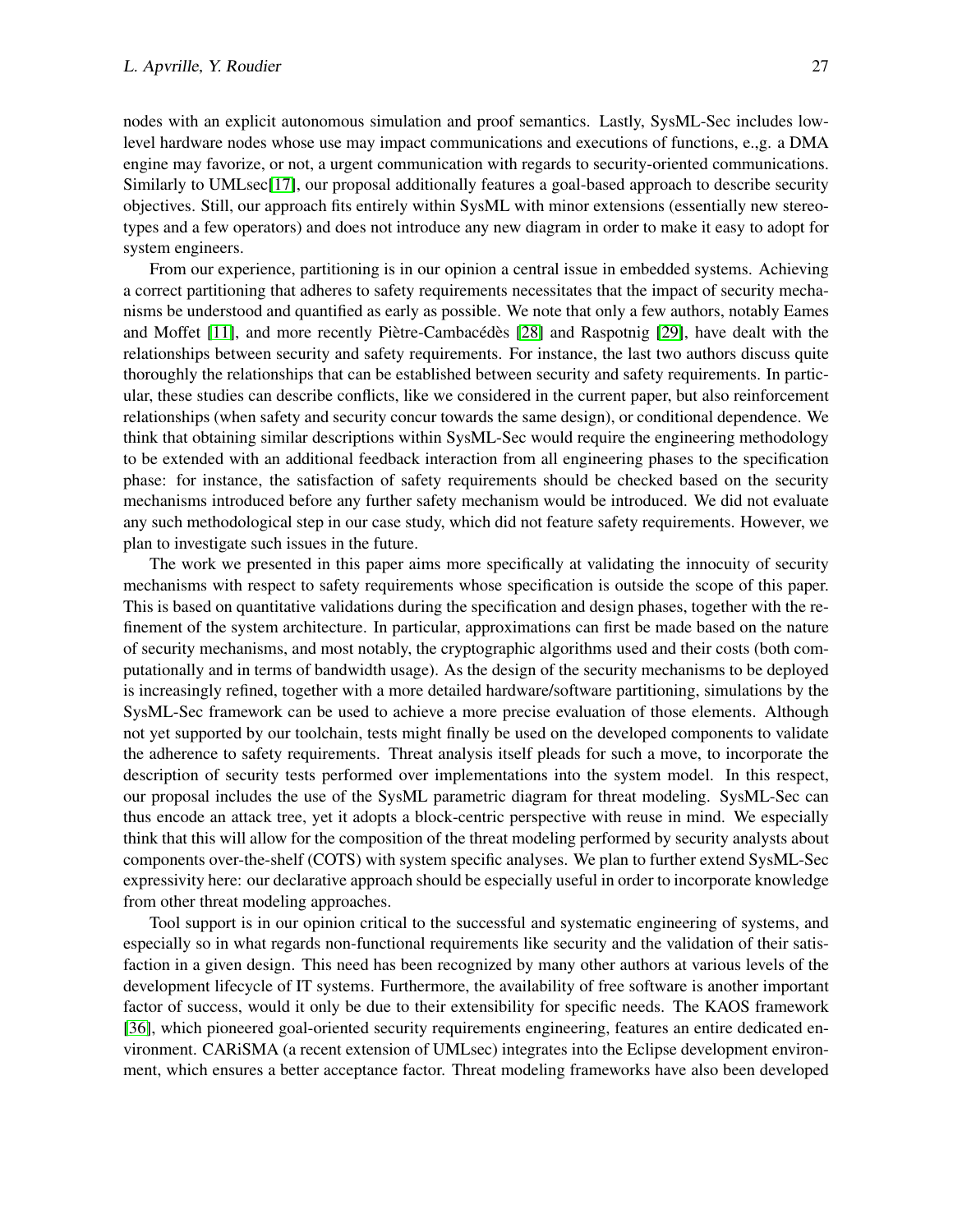nodes with an explicit autonomous simulation and proof semantics. Lastly, SysML-Sec includes lowlevel hardware nodes whose use may impact communications and executions of functions, e.,g. a DMA engine may favorize, or not, a urgent communication with regards to security-oriented communications. Similarly to UMLsec[\[17\]](#page-14-17), our proposal additionally features a goal-based approach to describe security objectives. Still, our approach fits entirely within SysML with minor extensions (essentially new stereotypes and a few operators) and does not introduce any new diagram in order to make it easy to adopt for system engineers.

From our experience, partitioning is in our opinion a central issue in embedded systems. Achieving a correct partitioning that adheres to safety requirements necessitates that the impact of security mechanisms be understood and quantified as early as possible. We note that only a few authors, notably Eames and Moffet [\[11\]](#page-14-18), and more recently Piètre-Cambacédès [\[28\]](#page-15-7) and Raspotnig [\[29\]](#page-15-8), have dealt with the relationships between security and safety requirements. For instance, the last two authors discuss quite thoroughly the relationships that can be established between security and safety requirements. In particular, these studies can describe conflicts, like we considered in the current paper, but also reinforcement relationships (when safety and security concur towards the same design), or conditional dependence. We think that obtaining similar descriptions within SysML-Sec would require the engineering methodology to be extended with an additional feedback interaction from all engineering phases to the specification phase: for instance, the satisfaction of safety requirements should be checked based on the security mechanisms introduced before any further safety mechanism would be introduced. We did not evaluate any such methodological step in our case study, which did not feature safety requirements. However, we plan to investigate such issues in the future.

The work we presented in this paper aims more specifically at validating the innocuity of security mechanisms with respect to safety requirements whose specification is outside the scope of this paper. This is based on quantitative validations during the specification and design phases, together with the refinement of the system architecture. In particular, approximations can first be made based on the nature of security mechanisms, and most notably, the cryptographic algorithms used and their costs (both computationally and in terms of bandwidth usage). As the design of the security mechanisms to be deployed is increasingly refined, together with a more detailed hardware/software partitioning, simulations by the SysML-Sec framework can be used to achieve a more precise evaluation of those elements. Although not yet supported by our toolchain, tests might finally be used on the developed components to validate the adherence to safety requirements. Threat analysis itself pleads for such a move, to incorporate the description of security tests performed over implementations into the system model. In this respect, our proposal includes the use of the SysML parametric diagram for threat modeling. SysML-Sec can thus encode an attack tree, yet it adopts a block-centric perspective with reuse in mind. We especially think that this will allow for the composition of the threat modeling performed by security analysts about components over-the-shelf (COTS) with system specific analyses. We plan to further extend SysML-Sec expressivity here: our declarative approach should be especially useful in order to incorporate knowledge from other threat modeling approaches.

Tool support is in our opinion critical to the successful and systematic engineering of systems, and especially so in what regards non-functional requirements like security and the validation of their satisfaction in a given design. This need has been recognized by many other authors at various levels of the development lifecycle of IT systems. Furthermore, the availability of free software is another important factor of success, would it only be due to their extensibility for specific needs. The KAOS framework [\[36\]](#page-15-9), which pioneered goal-oriented security requirements engineering, features an entire dedicated environment. CARiSMA (a recent extension of UMLsec) integrates into the Eclipse development environment, which ensures a better acceptance factor. Threat modeling frameworks have also been developed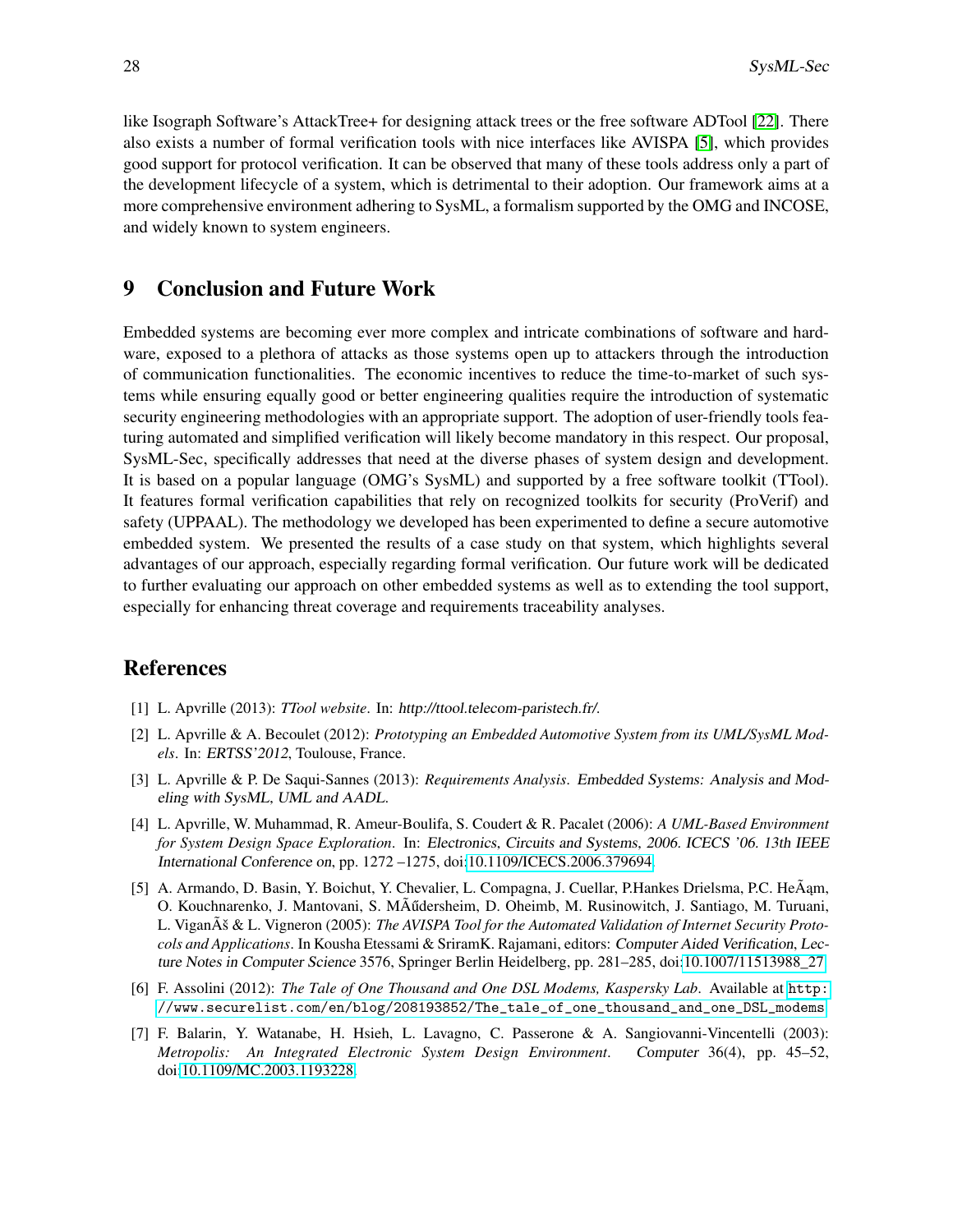like Isograph Software's AttackTree+ for designing attack trees or the free software ADTool [\[22\]](#page-14-19). There also exists a number of formal verification tools with nice interfaces like AVISPA [\[5\]](#page-13-6), which provides good support for protocol verification. It can be observed that many of these tools address only a part of the development lifecycle of a system, which is detrimental to their adoption. Our framework aims at a more comprehensive environment adhering to SysML, a formalism supported by the OMG and INCOSE, and widely known to system engineers.

### 9 Conclusion and Future Work

Embedded systems are becoming ever more complex and intricate combinations of software and hardware, exposed to a plethora of attacks as those systems open up to attackers through the introduction of communication functionalities. The economic incentives to reduce the time-to-market of such systems while ensuring equally good or better engineering qualities require the introduction of systematic security engineering methodologies with an appropriate support. The adoption of user-friendly tools featuring automated and simplified verification will likely become mandatory in this respect. Our proposal, SysML-Sec, specifically addresses that need at the diverse phases of system design and development. It is based on a popular language (OMG's SysML) and supported by a free software toolkit (TTool). It features formal verification capabilities that rely on recognized toolkits for security (ProVerif) and safety (UPPAAL). The methodology we developed has been experimented to define a secure automotive embedded system. We presented the results of a case study on that system, which highlights several advantages of our approach, especially regarding formal verification. Our future work will be dedicated to further evaluating our approach on other embedded systems as well as to extending the tool support, especially for enhancing threat coverage and requirements traceability analyses.

## References

- <span id="page-13-3"></span>[1] L. Apvrille (2013): *TTool website*. In: http://ttool.telecom-paristech.fr/.
- <span id="page-13-5"></span>[2] L. Apvrille & A. Becoulet (2012): *Prototyping an Embedded Automotive System from its UML/SysML Models*. In: ERTSS'2012, Toulouse, France.
- <span id="page-13-4"></span>[3] L. Apvrille & P. De Saqui-Sannes (2013): *Requirements Analysis*. Embedded Systems: Analysis and Modeling with SysML, UML and AADL.
- <span id="page-13-1"></span>[4] L. Apvrille, W. Muhammad, R. Ameur-Boulifa, S. Coudert & R. Pacalet (2006): *A UML-Based Environment for System Design Space Exploration*. In: Electronics, Circuits and Systems, 2006. ICECS '06. 13th IEEE International Conference on, pp. 1272 –1275, doi[:10.1109/ICECS.2006.379694.](http://dx.doi.org/10.1109/ICECS.2006.379694)
- <span id="page-13-6"></span>[5] A. Armando, D. Basin, Y. Boichut, Y. Chevalier, L. Compagna, J. Cuellar, P.Hankes Drielsma, P.C. He $\tilde{A}$ am, O. Kouchnarenko, J. Mantovani, S. MÃ udersheim, D. Oheimb, M. Rusinowitch, J. Santiago, M. Turuani, L. ViganÚ & L. Vigneron (2005): *The AVISPA Tool for the Automated Validation of Internet Security Protocols and Applications*. In Kousha Etessami & SriramK. Rajamani, editors: Computer Aided Verification, Lecture Notes in Computer Science 3576, Springer Berlin Heidelberg, pp. 281–285, doi[:10.1007/11513988\\_27.](http://dx.doi.org/10.1007/11513988_27)
- <span id="page-13-2"></span>[6] F. Assolini (2012): *The Tale of One Thousand and One DSL Modems, Kaspersky Lab*. Available at [http:](http://www.securelist.com/en/blog/208193852/The_tale_of_one_thousand_and_one_DSL_modems) [//www.securelist.com/en/blog/208193852/The\\_tale\\_of\\_one\\_thousand\\_and\\_one\\_DSL\\_modems](http://www.securelist.com/en/blog/208193852/The_tale_of_one_thousand_and_one_DSL_modems).
- <span id="page-13-0"></span>[7] F. Balarin, Y. Watanabe, H. Hsieh, L. Lavagno, C. Passerone & A. Sangiovanni-Vincentelli (2003): *Metropolis: An Integrated Electronic System Design Environment*. Computer 36(4), pp. 45–52, doi[:10.1109/MC.2003.1193228.](http://dx.doi.org/10.1109/MC.2003.1193228)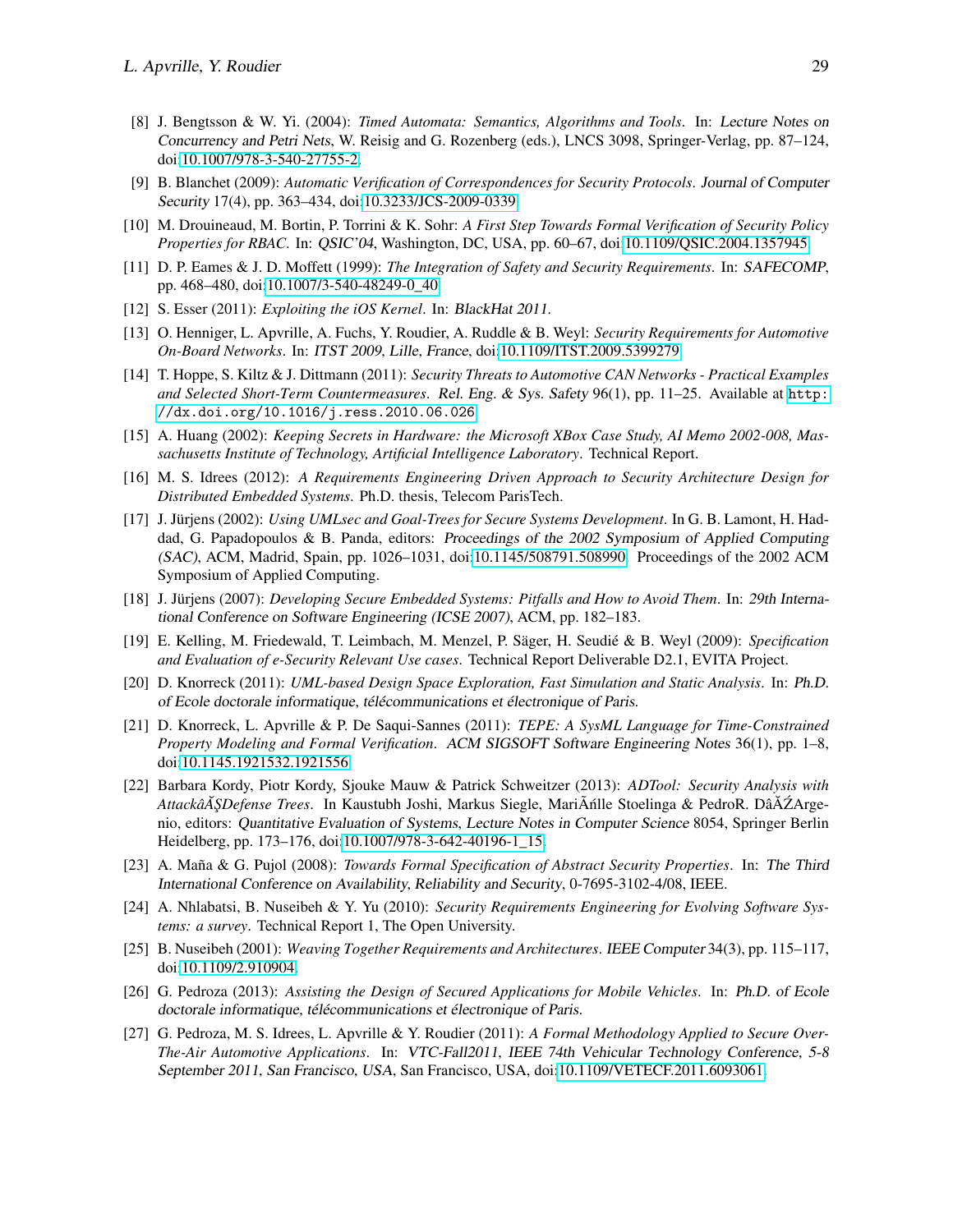- <span id="page-14-10"></span>[8] J. Bengtsson & W. Yi. (2004): *Timed Automata: Semantics, Algorithms and Tools*. In: Lecture Notes on Concurrency and Petri Nets, W. Reisig and G. Rozenberg (eds.), LNCS 3098, Springer-Verlag, pp. 87–124, doi[:10.1007/978-3-540-27755-2.](http://dx.doi.org/10.1007/978-3-540-27755-2)
- <span id="page-14-11"></span>[9] B. Blanchet (2009): *Automatic Verification of Correspondences for Security Protocols*. Journal of Computer Security 17(4), pp. 363–434, doi[:10.3233/JCS-2009-0339.](http://dx.doi.org/10.3233/JCS-2009-0339)
- <span id="page-14-14"></span>[10] M. Drouineaud, M. Bortin, P. Torrini & K. Sohr: *A First Step Towards Formal Verification of Security Policy Properties for RBAC*. In: QSIC'04, Washington, DC, USA, pp. 60–67, doi[:10.1109/QSIC.2004.1357945.](http://dx.doi.org/10.1109/QSIC.2004.1357945)
- <span id="page-14-18"></span>[11] D. P. Eames & J. D. Moffett (1999): *The Integration of Safety and Security Requirements*. In: SAFECOMP, pp. 468–480, doi[:10.1007/3-540-48249-0\\_40.](http://dx.doi.org/10.1007/3-540-48249-0_40)
- <span id="page-14-1"></span>[12] S. Esser (2011): *Exploiting the iOS Kernel*. In: BlackHat 2011.
- <span id="page-14-5"></span>[13] O. Henniger, L. Apvrille, A. Fuchs, Y. Roudier, A. Ruddle & B. Weyl: *Security Requirements for Automotive On-Board Networks*. In: ITST 2009, Lille, France, doi[:10.1109/ITST.2009.5399279.](http://dx.doi.org/10.1109/ITST.2009.5399279)
- <span id="page-14-2"></span>[14] T. Hoppe, S. Kiltz & J. Dittmann (2011): *Security Threats to Automotive CAN Networks - Practical Examples and Selected Short-Term Countermeasures*. Rel. Eng. & Sys. Safety 96(1), pp. 11–25. Available at [http:](http://dx.doi.org/10.1016/j.ress.2010.06.026) [//dx.doi.org/10.1016/j.ress.2010.06.026](http://dx.doi.org/10.1016/j.ress.2010.06.026).
- <span id="page-14-0"></span>[15] A. Huang (2002): *Keeping Secrets in Hardware: the Microsoft XBox Case Study, AI Memo 2002-008, Massachusetts Institute of Technology, Artificial Intelligence Laboratory*. Technical Report.
- <span id="page-14-9"></span>[16] M. S. Idrees (2012): *A Requirements Engineering Driven Approach to Security Architecture Design for Distributed Embedded Systems*. Ph.D. thesis, Telecom ParisTech.
- <span id="page-14-17"></span>[17] J. Jürjens (2002): *Using UMLsec and Goal-Trees for Secure Systems Development*. In G. B. Lamont, H. Haddad, G. Papadopoulos & B. Panda, editors: Proceedings of the 2002 Symposium of Applied Computing (SAC), ACM, Madrid, Spain, pp. 1026–1031, doi[:10.1145/508791.508990.](http://dx.doi.org/10.1145/508791.508990) Proceedings of the 2002 ACM Symposium of Applied Computing.
- <span id="page-14-16"></span>[18] J. Jürjens (2007): *Developing Secure Embedded Systems: Pitfalls and How to Avoid Them*. In: 29th International Conference on Software Engineering (ICSE 2007), ACM, pp. 182–183.
- <span id="page-14-4"></span>[19] E. Kelling, M. Friedewald, T. Leimbach, M. Menzel, P. Säger, H. Seudié & B. Weyl (2009): *Specification and Evaluation of e-Security Relevant Use cases*. Technical Report Deliverable D2.1, EVITA Project.
- <span id="page-14-7"></span>[20] D. Knorreck (2011): *UML-based Design Space Exploration, Fast Simulation and Static Analysis*. In: Ph.D. of Ecole doctorale informatique, télécommunications et électronique of Paris.
- <span id="page-14-6"></span>[21] D. Knorreck, L. Apvrille & P. De Saqui-Sannes (2011): *TEPE: A SysML Language for Time-Constrained Property Modeling and Formal Verification*. ACM SIGSOFT Software Engineering Notes 36(1), pp. 1–8, doi[:10.1145.1921532.1921556.](http://dx.doi.org/10.1145.1921532.1921556)
- <span id="page-14-19"></span>[22] Barbara Kordy, Piotr Kordy, Sjouke Mauw & Patrick Schweitzer (2013): *ADTool: Security Analysis with AttackâA ŞDefense Trees.* In Kaustubh Joshi, Markus Siegle, MariÂnille Stoelinga & PedroR. DâĂ ŹArgenio, editors: Quantitative Evaluation of Systems, Lecture Notes in Computer Science 8054, Springer Berlin Heidelberg, pp. 173–176, doi[:10.1007/978-3-642-40196-1\\_15.](http://dx.doi.org/10.1007/978-3-642-40196-1_15)
- <span id="page-14-15"></span>[23] A. Maña & G. Pujol (2008): *Towards Formal Specification of Abstract Security Properties*. In: The Third International Conference on Availability, Reliability and Security, 0-7695-3102-4/08, IEEE.
- <span id="page-14-12"></span>[24] A. Nhlabatsi, B. Nuseibeh & Y. Yu (2010): *Security Requirements Engineering for Evolving Software Systems: a survey*. Technical Report 1, The Open University.
- <span id="page-14-13"></span>[25] B. Nuseibeh (2001): *Weaving Together Requirements and Architectures*. IEEE Computer 34(3), pp. 115–117, doi[:10.1109/2.910904.](http://dx.doi.org/10.1109/2.910904)
- <span id="page-14-8"></span>[26] G. Pedroza (2013): *Assisting the Design of Secured Applications for Mobile Vehicles*. In: Ph.D. of Ecole doctorale informatique, télécommunications et électronique of Paris.
- <span id="page-14-3"></span>[27] G. Pedroza, M. S. Idrees, L. Apvrille & Y. Roudier (2011): *A Formal Methodology Applied to Secure Over-The-Air Automotive Applications*. In: VTC-Fall2011, IEEE 74th Vehicular Technology Conference, 5-8 September 2011, San Francisco, USA, San Francisco, USA, doi[:10.1109/VETECF.2011.6093061.](http://dx.doi.org/10.1109/VETECF.2011.6093061)